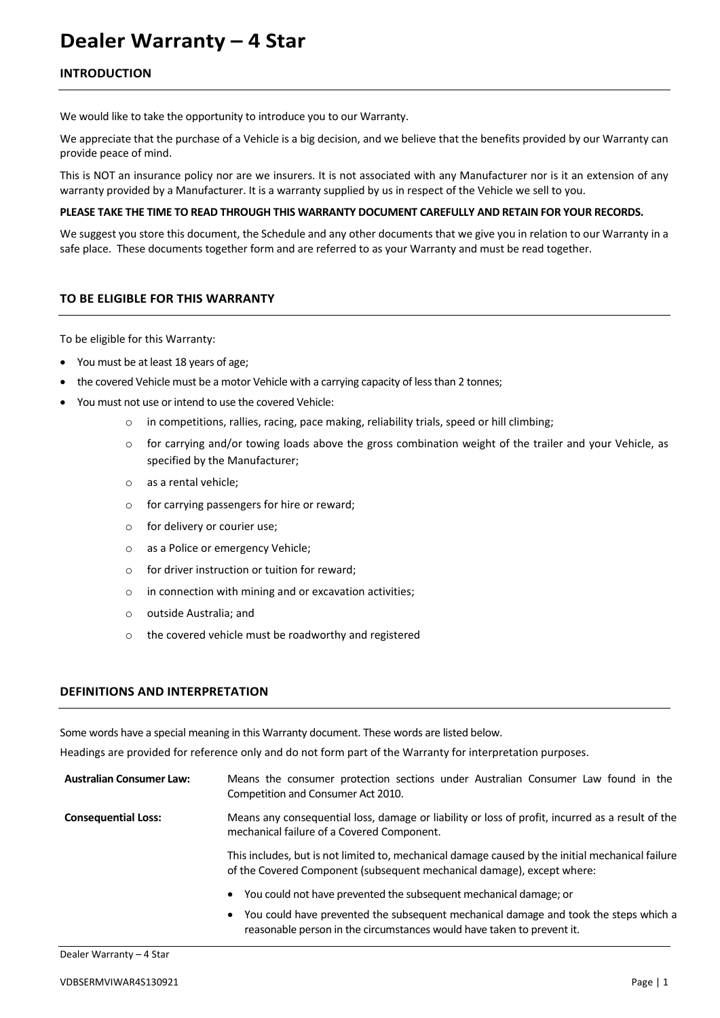# **Dealer Warranty – 4 Star**

# **INTRODUCTION**

We would like to take the opportunity to introduce you to our Warranty.

We appreciate that the purchase of a Vehicle is a big decision, and we believe that the benefits provided by our Warranty can provide peace of mind.

This is NOT an insurance policy nor are we insurers. It is not associated with any Manufacturer nor is it an extension of any warranty provided by a Manufacturer. It is a warranty supplied by us in respect of the Vehicle we sell to you.

#### **PLEASE TAKE THE TIME TO READ THROUGH THIS WARRANTY DOCUMENT CAREFULLY AND RETAIN FOR YOUR RECORDS.**

We suggest you store this document, the Schedule and any other documents that we give you in relation to our Warranty in a safe place. These documents together form and are referred to as your Warranty and must be read together.

# **TO BE ELIGIBLE FOR THIS WARRANTY**

To be eligible for this Warranty:

- You must be at least 18 years of age;
- the covered Vehicle must be a motor Vehicle with a carrying capacity of less than 2 tonnes;
- You must not use or intend to use the covered Vehicle:
	- o in competitions, rallies, racing, pace making, reliability trials, speed or hill climbing;
	- $\circ$  for carrying and/or towing loads above the gross combination weight of the trailer and your Vehicle, as specified by the Manufacturer;
	- o as a rental vehicle;
	- o for carrying passengers for hire or reward;
	- o for delivery or courier use;
	- o as a Police or emergency Vehicle;
	- o for driver instruction or tuition for reward;
	- o in connection with mining and or excavation activities;
	- o outside Australia; and
	- o the covered vehicle must be roadworthy and registered

#### **DEFINITIONS AND INTERPRETATION**

Some words have a special meaning in this Warranty document. These words are listed below.

Headings are provided for reference only and do not form part of the Warranty for interpretation purposes.

| <b>Australian Consumer Law:</b> | Means the consumer protection sections under Australian Consumer Law found in the<br>Competition and Consumer Act 2010.                                                     |
|---------------------------------|-----------------------------------------------------------------------------------------------------------------------------------------------------------------------------|
| <b>Consequential Loss:</b>      | Means any consequential loss, damage or liability or loss of profit, incurred as a result of the<br>mechanical failure of a Covered Component.                              |
|                                 | This includes, but is not limited to, mechanical damage caused by the initial mechanical failure<br>of the Covered Component (subsequent mechanical damage), except where:  |
|                                 | You could not have prevented the subsequent mechanical damage; or<br>$\bullet$                                                                                              |
|                                 | You could have prevented the subsequent mechanical damage and took the steps which a<br>$\bullet$<br>reasonable person in the circumstances would have taken to prevent it. |

Dealer Warranty – 4 Star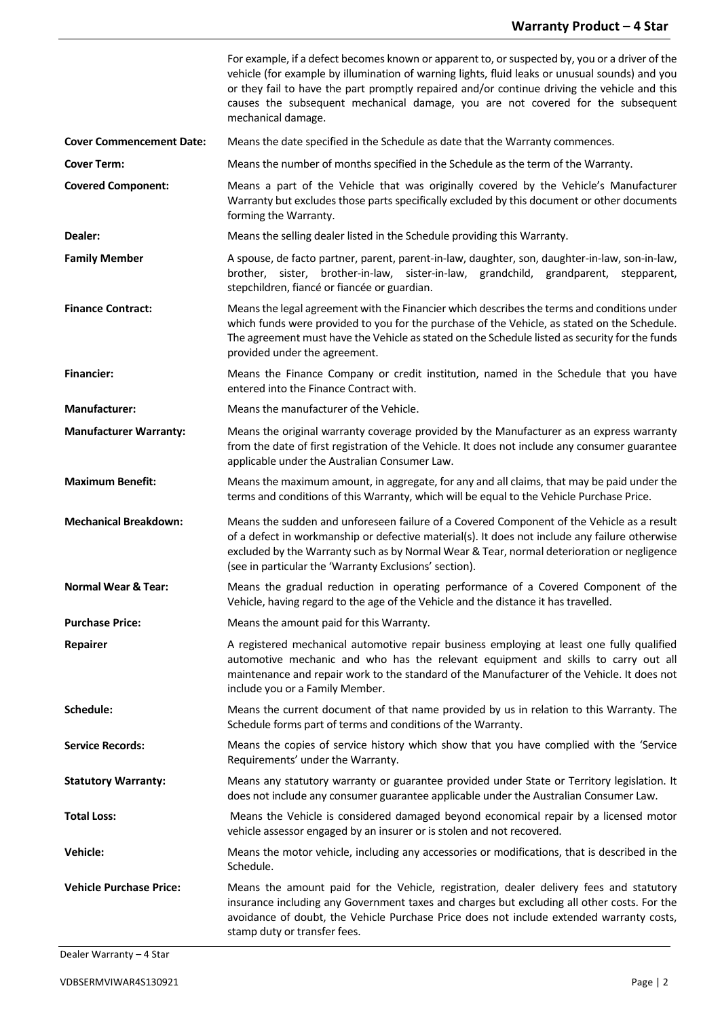|                                 | For example, if a defect becomes known or apparent to, or suspected by, you or a driver of the<br>vehicle (for example by illumination of warning lights, fluid leaks or unusual sounds) and you<br>or they fail to have the part promptly repaired and/or continue driving the vehicle and this<br>causes the subsequent mechanical damage, you are not covered for the subsequent<br>mechanical damage. |
|---------------------------------|-----------------------------------------------------------------------------------------------------------------------------------------------------------------------------------------------------------------------------------------------------------------------------------------------------------------------------------------------------------------------------------------------------------|
| <b>Cover Commencement Date:</b> | Means the date specified in the Schedule as date that the Warranty commences.                                                                                                                                                                                                                                                                                                                             |
| <b>Cover Term:</b>              | Means the number of months specified in the Schedule as the term of the Warranty.                                                                                                                                                                                                                                                                                                                         |
| <b>Covered Component:</b>       | Means a part of the Vehicle that was originally covered by the Vehicle's Manufacturer<br>Warranty but excludes those parts specifically excluded by this document or other documents<br>forming the Warranty.                                                                                                                                                                                             |
| Dealer:                         | Means the selling dealer listed in the Schedule providing this Warranty.                                                                                                                                                                                                                                                                                                                                  |
| <b>Family Member</b>            | A spouse, de facto partner, parent, parent-in-law, daughter, son, daughter-in-law, son-in-law,<br>brother, sister, brother-in-law, sister-in-law, grandchild, grandparent, stepparent,<br>stepchildren, fiancé or fiancée or guardian.                                                                                                                                                                    |
| <b>Finance Contract:</b>        | Means the legal agreement with the Financier which describes the terms and conditions under<br>which funds were provided to you for the purchase of the Vehicle, as stated on the Schedule.<br>The agreement must have the Vehicle as stated on the Schedule listed as security for the funds<br>provided under the agreement.                                                                            |
| <b>Financier:</b>               | Means the Finance Company or credit institution, named in the Schedule that you have<br>entered into the Finance Contract with.                                                                                                                                                                                                                                                                           |
| <b>Manufacturer:</b>            | Means the manufacturer of the Vehicle.                                                                                                                                                                                                                                                                                                                                                                    |
| <b>Manufacturer Warranty:</b>   | Means the original warranty coverage provided by the Manufacturer as an express warranty<br>from the date of first registration of the Vehicle. It does not include any consumer guarantee<br>applicable under the Australian Consumer Law.                                                                                                                                                               |
| <b>Maximum Benefit:</b>         | Means the maximum amount, in aggregate, for any and all claims, that may be paid under the<br>terms and conditions of this Warranty, which will be equal to the Vehicle Purchase Price.                                                                                                                                                                                                                   |
| <b>Mechanical Breakdown:</b>    | Means the sudden and unforeseen failure of a Covered Component of the Vehicle as a result<br>of a defect in workmanship or defective material(s). It does not include any failure otherwise<br>excluded by the Warranty such as by Normal Wear & Tear, normal deterioration or negligence<br>(see in particular the 'Warranty Exclusions' section).                                                       |
| <b>Normal Wear &amp; Tear:</b>  | Means the gradual reduction in operating performance of a Covered Component of the<br>Vehicle, having regard to the age of the Vehicle and the distance it has travelled.                                                                                                                                                                                                                                 |
| <b>Purchase Price:</b>          | Means the amount paid for this Warranty.                                                                                                                                                                                                                                                                                                                                                                  |
| <b>Repairer</b>                 | A registered mechanical automotive repair business employing at least one fully qualified<br>automotive mechanic and who has the relevant equipment and skills to carry out all<br>maintenance and repair work to the standard of the Manufacturer of the Vehicle. It does not<br>include you or a Family Member.                                                                                         |
| Schedule:                       | Means the current document of that name provided by us in relation to this Warranty. The<br>Schedule forms part of terms and conditions of the Warranty.                                                                                                                                                                                                                                                  |
| <b>Service Records:</b>         | Means the copies of service history which show that you have complied with the 'Service<br>Requirements' under the Warranty.                                                                                                                                                                                                                                                                              |
| <b>Statutory Warranty:</b>      | Means any statutory warranty or guarantee provided under State or Territory legislation. It<br>does not include any consumer guarantee applicable under the Australian Consumer Law.                                                                                                                                                                                                                      |
| <b>Total Loss:</b>              | Means the Vehicle is considered damaged beyond economical repair by a licensed motor<br>vehicle assessor engaged by an insurer or is stolen and not recovered.                                                                                                                                                                                                                                            |
| <b>Vehicle:</b>                 | Means the motor vehicle, including any accessories or modifications, that is described in the<br>Schedule.                                                                                                                                                                                                                                                                                                |
| <b>Vehicle Purchase Price:</b>  | Means the amount paid for the Vehicle, registration, dealer delivery fees and statutory<br>insurance including any Government taxes and charges but excluding all other costs. For the<br>avoidance of doubt, the Vehicle Purchase Price does not include extended warranty costs,<br>stamp duty or transfer fees.                                                                                        |

Dealer Warranty – 4 Star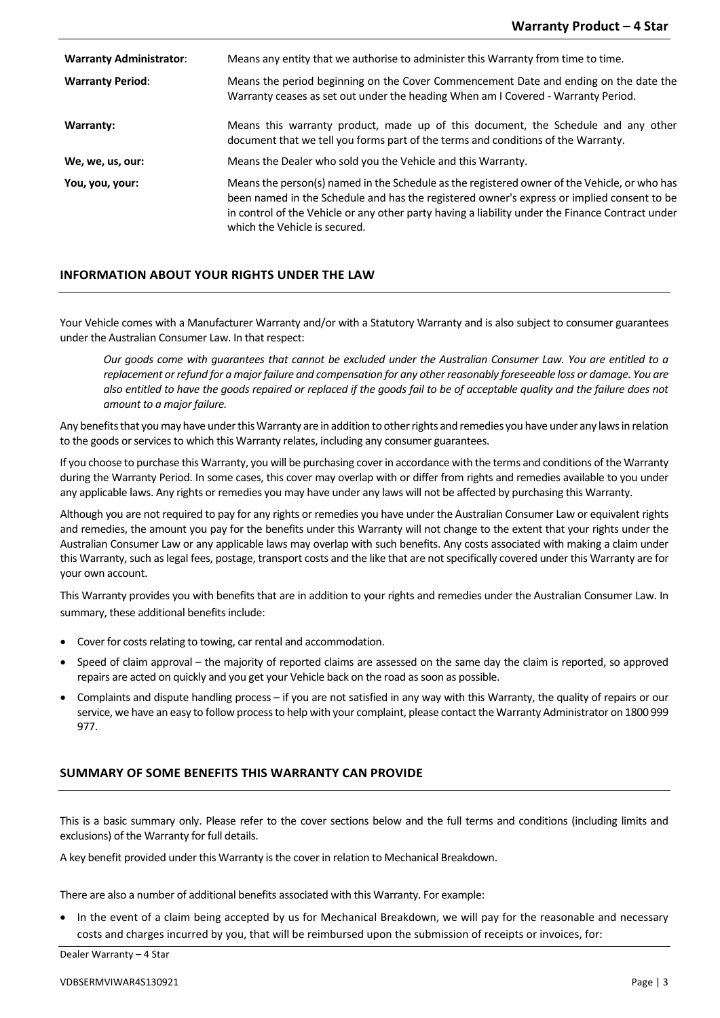**Warranty Administrator**: Means any entity that we authorise to administer this Warranty from time to time. **Warranty Period**: Means the period beginning on the Cover Commencement Date and ending on the date the Warranty ceases as set out under the heading When am I Covered - Warranty Period. **Warranty:** Means this warranty product, made up of this document, the Schedule and any other document that we tell you forms part of the terms and conditions of the Warranty. **We, we, us, our:** Means the Dealer who sold you the Vehicle and this Warranty. **You, you, your:** Means the person(s) named in the Schedule asthe registered owner of the Vehicle, or who has been named in the Schedule and has the registered owner's express or implied consent to be in control of the Vehicle or any other party having a liability under the Finance Contract under which the Vehicle is secured.

# **INFORMATION ABOUT YOUR RIGHTS UNDER THE LAW**

Your Vehicle comes with a Manufacturer Warranty and/or with a Statutory Warranty and is also subject to consumer guarantees under the Australian Consumer Law. In that respect:

*Our goods come with guarantees that cannot be excluded under the Australian Consumer Law. You are entitled to a replacement or refund for a major failure and compensation for any other reasonably foreseeable loss or damage. You are also entitled to have the goods repaired or replaced if the goods fail to be of acceptable quality and the failure does not amount to a major failure.*

Any benefits that you may have under this Warranty are in addition to other rights and remedies you have under any lawsin relation to the goods or services to which this Warranty relates, including any consumer guarantees.

If you choose to purchase this Warranty, you will be purchasing coverin accordance with the terms and conditions of the Warranty during the Warranty Period. In some cases, this cover may overlap with or differ from rights and remedies available to you under any applicable laws. Any rights or remedies you may have under any laws will not be affected by purchasing this Warranty.

Although you are not required to pay for any rights or remedies you have under the Australian Consumer Law or equivalent rights and remedies, the amount you pay for the benefits under this Warranty will not change to the extent that your rights under the Australian Consumer Law or any applicable laws may overlap with such benefits. Any costs associated with making a claim under this Warranty, such as legal fees, postage, transport costs and the like that are not specifically covered under this Warranty are for your own account.

This Warranty provides you with benefits that are in addition to your rights and remedies under the Australian Consumer Law. In summary, these additional benefits include:

- Cover for costs relating to towing, car rental and accommodation.
- Speed of claim approval the majority of reported claims are assessed on the same day the claim is reported, so approved repairs are acted on quickly and you get your Vehicle back on the road as soon as possible.
- Complaints and dispute handling process if you are not satisfied in any way with this Warranty, the quality of repairs or our service, we have an easy to follow process to help with your complaint, please contact the Warranty Administrator on 1800 999 977.

# **SUMMARY OF SOME BENEFITS THIS WARRANTY CAN PROVIDE**

This is a basic summary only. Please refer to the cover sections below and the full terms and conditions (including limits and exclusions) of the Warranty for full details.

A key benefit provided under this Warranty is the cover in relation to Mechanical Breakdown.

There are also a number of additional benefits associated with this Warranty. For example:

• In the event of a claim being accepted by us for Mechanical Breakdown, we will pay for the reasonable and necessary costs and charges incurred by you, that will be reimbursed upon the submission of receipts or invoices, for:

Dealer Warranty – 4 Star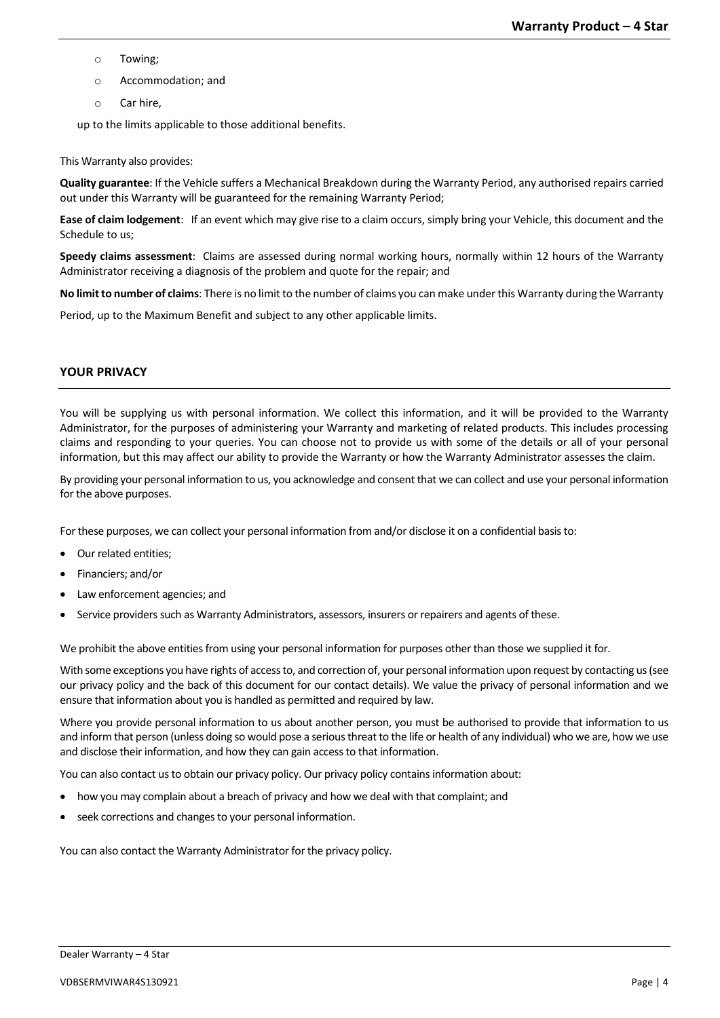- o Towing;
- o Accommodation; and
- o Car hire,

up to the limits applicable to those additional benefits.

# This Warranty also provides:

**Quality guarantee**: If the Vehicle suffers a Mechanical Breakdown during the Warranty Period, any authorised repairs carried out under this Warranty will be guaranteed for the remaining Warranty Period;

**Ease of claim lodgement**: If an event which may give rise to a claim occurs, simply bring your Vehicle, this document and the Schedule to us;

**Speedy claims assessment**: Claims are assessed during normal working hours, normally within 12 hours of the Warranty Administrator receiving a diagnosis of the problem and quote for the repair; and

**No limit to number of claims**: There is no limit to the number of claims you can make under this Warranty during the Warranty

Period, up to the Maximum Benefit and subject to any other applicable limits.

# **YOUR PRIVACY**

You will be supplying us with personal information. We collect this information, and it will be provided to the Warranty Administrator, for the purposes of administering your Warranty and marketing of related products. This includes processing claims and responding to your queries. You can choose not to provide us with some of the details or all of your personal information, but this may affect our ability to provide the Warranty or how the Warranty Administrator assesses the claim.

By providing your personal information to us, you acknowledge and consent that we can collect and use your personal information for the above purposes.

For these purposes, we can collect your personal information from and/or disclose it on a confidential basisto:

- Our related entities;
- Financiers; and/or
- Law enforcement agencies; and
- Service providers such as Warranty Administrators, assessors, insurers or repairers and agents of these.

We prohibit the above entities from using your personal information for purposes other than those we supplied it for.

With some exceptions you have rights of access to, and correction of, your personal information upon request by contacting us (see our privacy policy and the back of this document for our contact details). We value the privacy of personal information and we ensure that information about you is handled as permitted and required by law.

Where you provide personal information to us about another person, you must be authorised to provide that information to us and inform that person (unless doing so would pose a serious threat to the life or health of any individual) who we are, how we use and disclose their information, and how they can gain access to that information.

You can also contact us to obtain our privacy policy. Our privacy policy contains information about:

- how you may complain about a breach of privacy and how we deal with that complaint; and
- seek corrections and changes to your personal information.

You can also contact the Warranty Administrator for the privacy policy.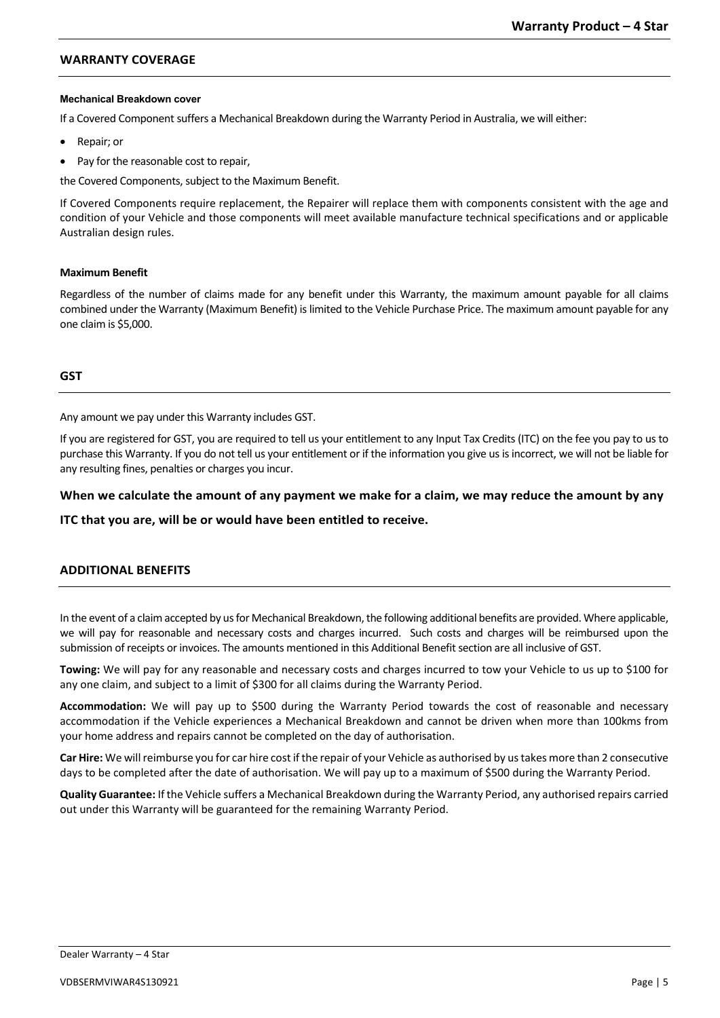# **WARRANTY COVERAGE**

#### **Mechanical Breakdown cover**

If a Covered Component suffers a Mechanical Breakdown during the Warranty Period in Australia, we will either:

- Repair; or
- Pay for the reasonable cost to repair,

the Covered Components, subject to the Maximum Benefit.

If Covered Components require replacement, the Repairer will replace them with components consistent with the age and condition of your Vehicle and those components will meet available manufacture technical specifications and or applicable Australian design rules.

## **Maximum Benefit**

Regardless of the number of claims made for any benefit under this Warranty, the maximum amount payable for all claims combined under the Warranty (Maximum Benefit) is limited to the Vehicle Purchase Price. The maximum amount payable for any one claim is \$5,000.

# **GST**

Any amount we pay under this Warranty includes GST.

If you are registered for GST, you are required to tell us your entitlement to any Input Tax Credits (ITC) on the fee you pay to us to purchase this Warranty. If you do not tell us your entitlement or if the information you give us is incorrect, we will not be liable for any resulting fines, penalties or charges you incur.

# **When we calculate the amount of any payment we make for a claim, we may reduce the amount by any**

**ITC that you are, will be or would have been entitled to receive.**

# **ADDITIONAL BENEFITS**

In the event of a claimaccepted by us for Mechanical Breakdown, the following additional benefits are provided. Where applicable, we will pay for reasonable and necessary costs and charges incurred. Such costs and charges will be reimbursed upon the submission of receipts or invoices. The amounts mentioned in this Additional Benefit section are all inclusive of GST.

**Towing:** We will pay for any reasonable and necessary costs and charges incurred to tow your Vehicle to us up to \$100 for any one claim, and subject to a limit of \$300 for all claims during the Warranty Period.

**Accommodation:** We will pay up to \$500 during the Warranty Period towards the cost of reasonable and necessary accommodation if the Vehicle experiences a Mechanical Breakdown and cannot be driven when more than 100kms from your home address and repairs cannot be completed on the day of authorisation.

**Car Hire:** We will reimburse you for car hire cost if the repair of your Vehicle as authorised by us takes more than 2 consecutive days to be completed after the date of authorisation. We will pay up to a maximum of \$500 during the Warranty Period.

**Quality Guarantee:** If the Vehicle suffers a Mechanical Breakdown during the Warranty Period, any authorised repairs carried out under this Warranty will be guaranteed for the remaining Warranty Period.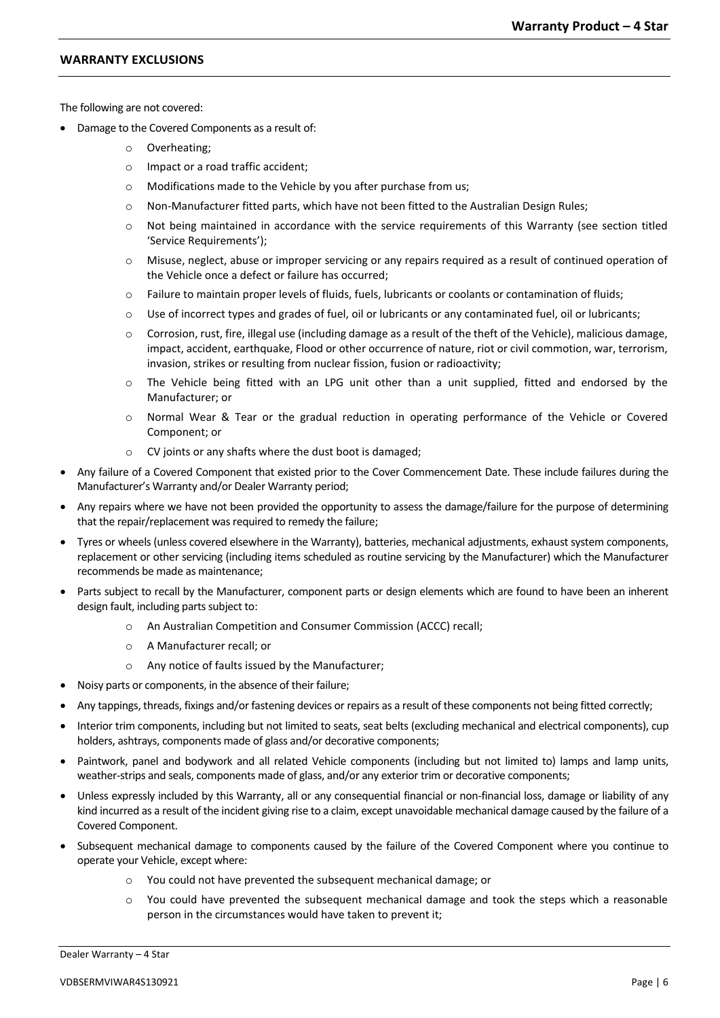# **WARRANTY EXCLUSIONS**

The following are not covered:

- Damage to the Covered Components as a result of:
	- o Overheating;
	- o Impact or a road traffic accident;
	- o Modifications made to the Vehicle by you after purchase from us;
	- $\circ$  Non-Manufacturer fitted parts, which have not been fitted to the Australian Design Rules;
	- o Not being maintained in accordance with the service requirements of this Warranty (see section titled 'Service Requirements');
	- o Misuse, neglect, abuse or improper servicing or any repairs required as a result of continued operation of the Vehicle once a defect or failure has occurred;
	- o Failure to maintain proper levels of fluids, fuels, lubricants or coolants or contamination of fluids;
	- $\circ$  Use of incorrect types and grades of fuel, oil or lubricants or any contaminated fuel, oil or lubricants;
	- o Corrosion, rust, fire, illegal use (including damage as a result of the theft of the Vehicle), malicious damage, impact, accident, earthquake, Flood or other occurrence of nature, riot or civil commotion, war, terrorism, invasion, strikes or resulting from nuclear fission, fusion or radioactivity;
	- o The Vehicle being fitted with an LPG unit other than a unit supplied, fitted and endorsed by the Manufacturer; or
	- o Normal Wear & Tear or the gradual reduction in operating performance of the Vehicle or Covered Component; or
	- o CV joints or any shafts where the dust boot is damaged;
- Any failure of a Covered Component that existed prior to the Cover Commencement Date. These include failures during the Manufacturer's Warranty and/or Dealer Warranty period;
- Any repairs where we have not been provided the opportunity to assess the damage/failure for the purpose of determining that the repair/replacement was required to remedy the failure;
- Tyres or wheels (unless covered elsewhere in the Warranty), batteries, mechanical adjustments, exhaust system components, replacement or other servicing (including items scheduled as routine servicing by the Manufacturer) which the Manufacturer recommends be made as maintenance;
- Parts subject to recall by the Manufacturer, component parts or design elements which are found to have been an inherent design fault, including parts subject to:
	- o An Australian Competition and Consumer Commission (ACCC) recall;
	- o A Manufacturer recall; or
	- o Any notice of faults issued by the Manufacturer;
- Noisy parts or components, in the absence of their failure;
- Any tappings, threads, fixings and/or fastening devices or repairs as a result of these components not being fitted correctly;
- Interior trim components, including but not limited to seats, seat belts (excluding mechanical and electrical components), cup holders, ashtrays, components made of glass and/or decorative components;
- Paintwork, panel and bodywork and all related Vehicle components (including but not limited to) lamps and lamp units, weather-strips and seals, components made of glass, and/or any exterior trim or decorative components;
- Unless expressly included by this Warranty, all or any consequential financial or non-financial loss, damage or liability of any kind incurred as a result of the incident giving rise to a claim, except unavoidable mechanical damage caused by the failure of a Covered Component.
- Subsequent mechanical damage to components caused by the failure of the Covered Component where you continue to operate your Vehicle, except where:
	- o You could not have prevented the subsequent mechanical damage; or
	- o You could have prevented the subsequent mechanical damage and took the steps which a reasonable person in the circumstances would have taken to prevent it;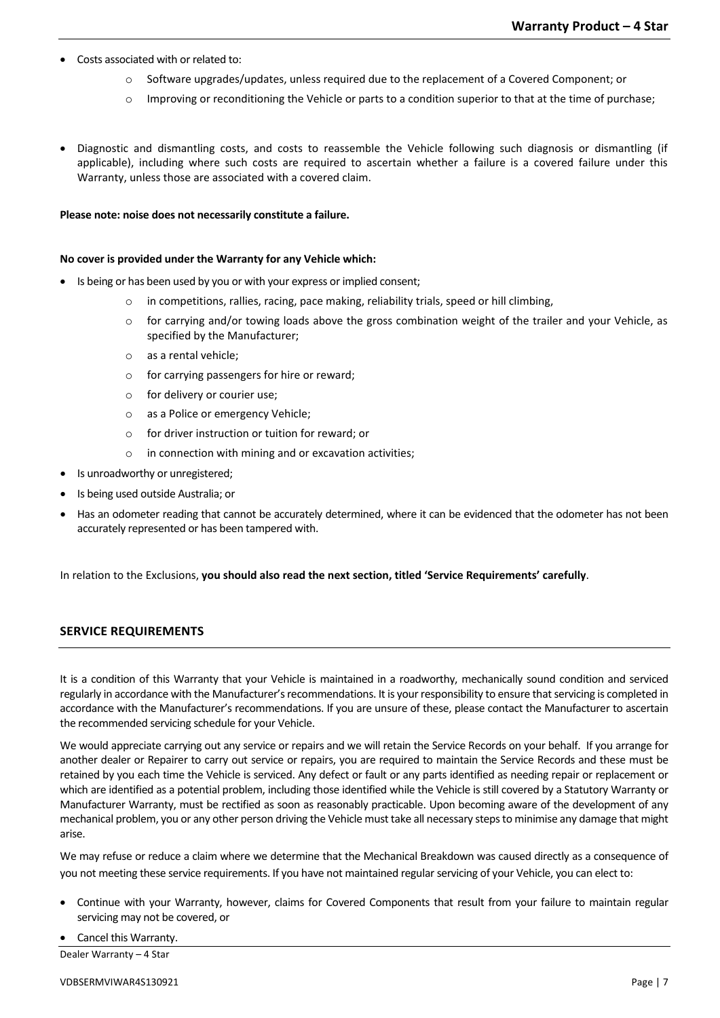- Costs associated with or related to:
	- o Software upgrades/updates, unless required due to the replacement of a Covered Component; or
	- $\circ$  Improving or reconditioning the Vehicle or parts to a condition superior to that at the time of purchase;
- Diagnostic and dismantling costs, and costs to reassemble the Vehicle following such diagnosis or dismantling (if applicable), including where such costs are required to ascertain whether a failure is a covered failure under this Warranty, unless those are associated with a covered claim.

#### **Please note: noise does not necessarily constitute a failure.**

#### **No cover is provided under the Warranty for any Vehicle which:**

- Is being or has been used by you or with your express or implied consent;
	- $\circ$  in competitions, rallies, racing, pace making, reliability trials, speed or hill climbing,
	- o for carrying and/or towing loads above the gross combination weight of the trailer and your Vehicle, as specified by the Manufacturer;
	- o as a rental vehicle;
	- o for carrying passengers for hire or reward;
	- o for delivery or courier use;
	- o as a Police or emergency Vehicle;
	- o for driver instruction or tuition for reward; or
	- o in connection with mining and or excavation activities;
- Is unroadworthy or unregistered;
- Is being used outside Australia; or
- Has an odometer reading that cannot be accurately determined, where it can be evidenced that the odometer has not been accurately represented or has been tampered with.

In relation to the Exclusions, **you should also read the next section, titled 'Service Requirements' carefully**.

# **SERVICE REQUIREMENTS**

It is a condition of this Warranty that your Vehicle is maintained in a roadworthy, mechanically sound condition and serviced regularly in accordance with the Manufacturer's recommendations. It is yourresponsibility to ensure that servicing is completed in accordance with the Manufacturer's recommendations. If you are unsure of these, please contact the Manufacturer to ascertain the recommended servicing schedule for your Vehicle.

We would appreciate carrying out any service or repairs and we will retain the Service Records on your behalf. If you arrange for another dealer or Repairer to carry out service or repairs, you are required to maintain the Service Records and these must be retained by you each time the Vehicle is serviced. Any defect or fault or any parts identified as needing repair or replacement or which are identified as a potential problem, including those identified while the Vehicle is still covered by a Statutory Warranty or Manufacturer Warranty, must be rectified as soon as reasonably practicable. Upon becoming aware of the development of any mechanical problem, you or any other person driving the Vehicle must take all necessary steps to minimise any damage that might arise.

We may refuse or reduce a claim where we determine that the Mechanical Breakdown was caused directly as a consequence of you not meeting these service requirements. If you have not maintained regular servicing of your Vehicle, you can elect to:

- Continue with your Warranty, however, claims for Covered Components that result from your failure to maintain regular servicing may not be covered, or
- Cancel this Warranty.

Dealer Warranty – 4 Star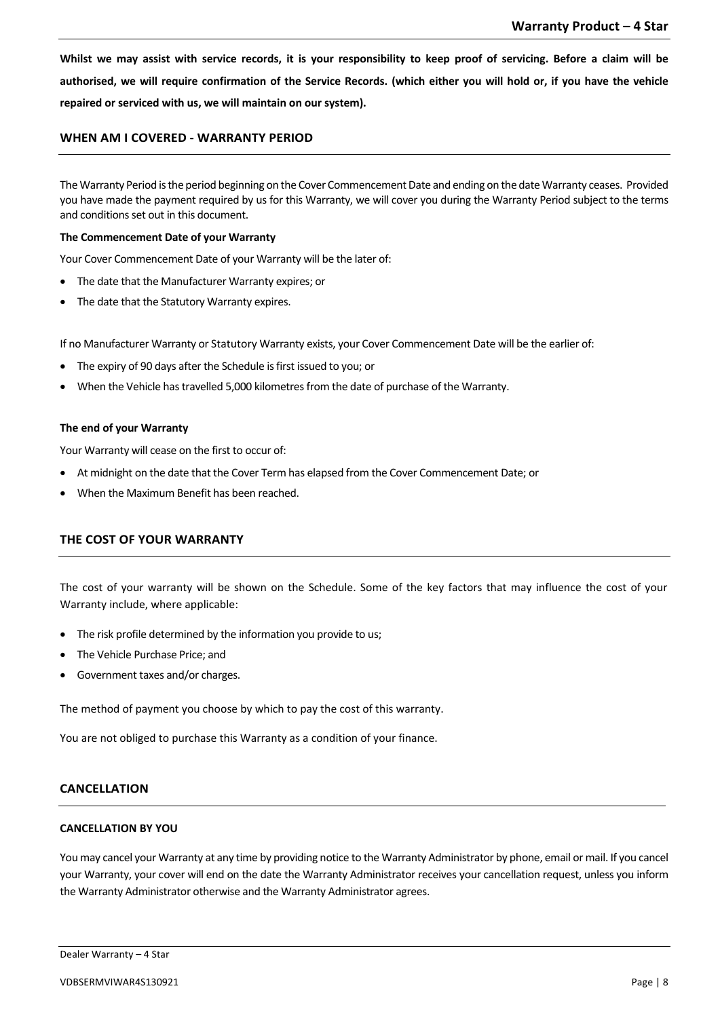**Whilst we may assist with service records, it is your responsibility to keep proof of servicing. Before a claim will be authorised, we will require confirmation of the Service Records. (which either you will hold or, if you have the vehicle repaired or serviced with us, we will maintain on our system).** 

# **WHEN AM I COVERED - WARRANTY PERIOD**

The Warranty Period is the period beginning on the Cover Commencement Date and ending on the date Warranty ceases. Provided you have made the payment required by us for this Warranty, we will cover you during the Warranty Period subject to the terms and conditions set out in this document.

#### **The Commencement Date of your Warranty**

Your Cover Commencement Date of your Warranty will be the later of:

- The date that the Manufacturer Warranty expires; or
- The date that the Statutory Warranty expires.

If no Manufacturer Warranty or Statutory Warranty exists, your Cover Commencement Date will be the earlier of:

- The expiry of 90 days after the Schedule is first issued to you; or
- When the Vehicle has travelled 5,000 kilometres from the date of purchase of the Warranty.

#### **The end of your Warranty**

Your Warranty will cease on the first to occur of:

- At midnight on the date that the Cover Term has elapsed from the Cover Commencement Date; or
- When the Maximum Benefit has been reached.

# **THE COST OF YOUR WARRANTY**

The cost of your warranty will be shown on the Schedule. Some of the key factors that may influence the cost of your Warranty include, where applicable:

- The risk profile determined by the information you provide to us;
- The Vehicle Purchase Price; and
- Government taxes and/or charges.

The method of payment you choose by which to pay the cost of this warranty.

You are not obliged to purchase this Warranty as a condition of your finance.

# **CANCELLATION**

# **CANCELLATION BY YOU**

You may cancel your Warranty at any time by providing notice to the Warranty Administrator by phone, email or mail. If you cancel your Warranty, your cover will end on the date the Warranty Administrator receives your cancellation request, unless you inform the Warranty Administrator otherwise and the Warranty Administrator agrees.

Dealer Warranty – 4 Star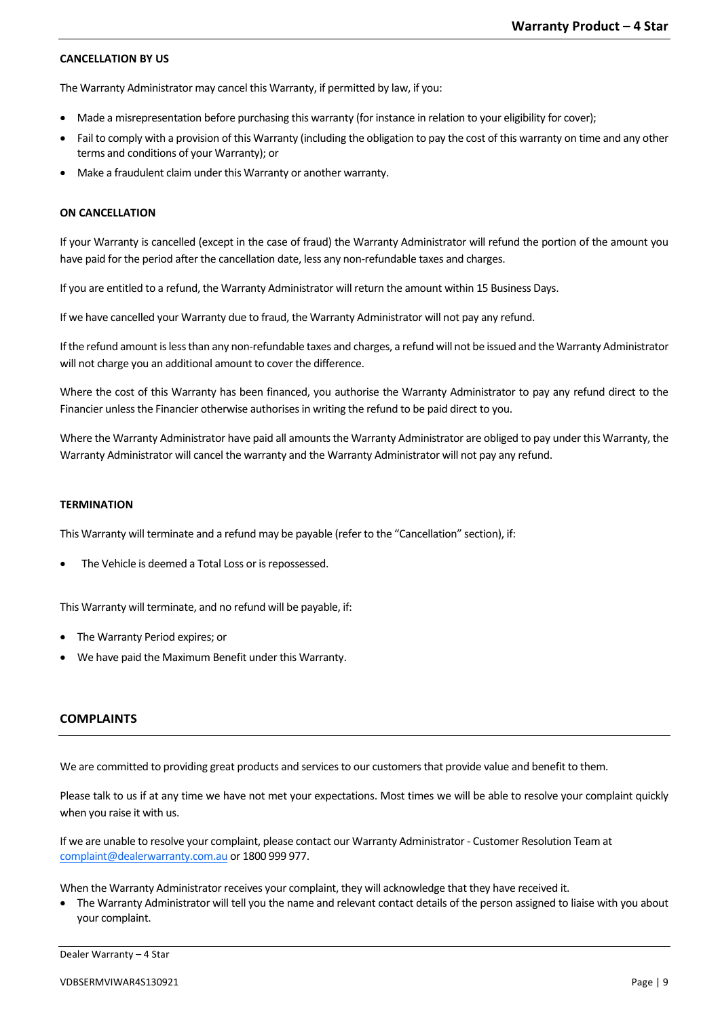## **CANCELLATION BY US**

The Warranty Administrator may cancel this Warranty, if permitted by law, if you:

- Made a misrepresentation before purchasing this warranty (for instance in relation to your eligibility for cover);
- Fail to comply with a provision of this Warranty (including the obligation to pay the cost of this warranty on time and any other terms and conditions of your Warranty); or
- Make a fraudulent claim under this Warranty or another warranty.

## **ON CANCELLATION**

If your Warranty is cancelled (except in the case of fraud) the Warranty Administrator will refund the portion of the amount you have paid for the period after the cancellation date, less any non-refundable taxes and charges.

If you are entitled to a refund, the Warranty Administrator will return the amount within 15 Business Days.

If we have cancelled your Warranty due to fraud, the Warranty Administrator will not pay any refund.

If the refund amount is less than any non-refundable taxes and charges, a refund will not be issued and the Warranty Administrator will not charge you an additional amount to cover the difference.

Where the cost of this Warranty has been financed, you authorise the Warranty Administrator to pay any refund direct to the Financier unless the Financier otherwise authorises in writing the refund to be paid direct to you.

Where the Warranty Administrator have paid all amounts the Warranty Administrator are obliged to pay under this Warranty, the Warranty Administrator will cancel the warranty and the Warranty Administrator will not pay any refund.

#### **TERMINATION**

This Warranty will terminate and a refund may be payable (refer to the "Cancellation" section), if:

The Vehicle is deemed a Total Loss or is repossessed.

This Warranty will terminate, and no refund will be payable, if:

- The Warranty Period expires; or
- We have paid the Maximum Benefit under this Warranty.

# **COMPLAINTS**

We are committed to providing great products and services to our customers that provide value and benefit to them.

Please talk to us if at any time we have not met your expectations. Most times we will be able to resolve your complaint quickly when you raise it with us.

If we are unable to resolve your complaint, please contact our Warranty Administrator - Customer Resolution Team at [complaint@dealerwarranty.com.au](mailto:complaint@dealerwarranty.com.au) or 1800 999 977.

When the Warranty Administrator receives your complaint, they will acknowledge that they have received it.

• The Warranty Administrator will tell you the name and relevant contact details of the person assigned to liaise with you about your complaint.

Dealer Warranty – 4 Star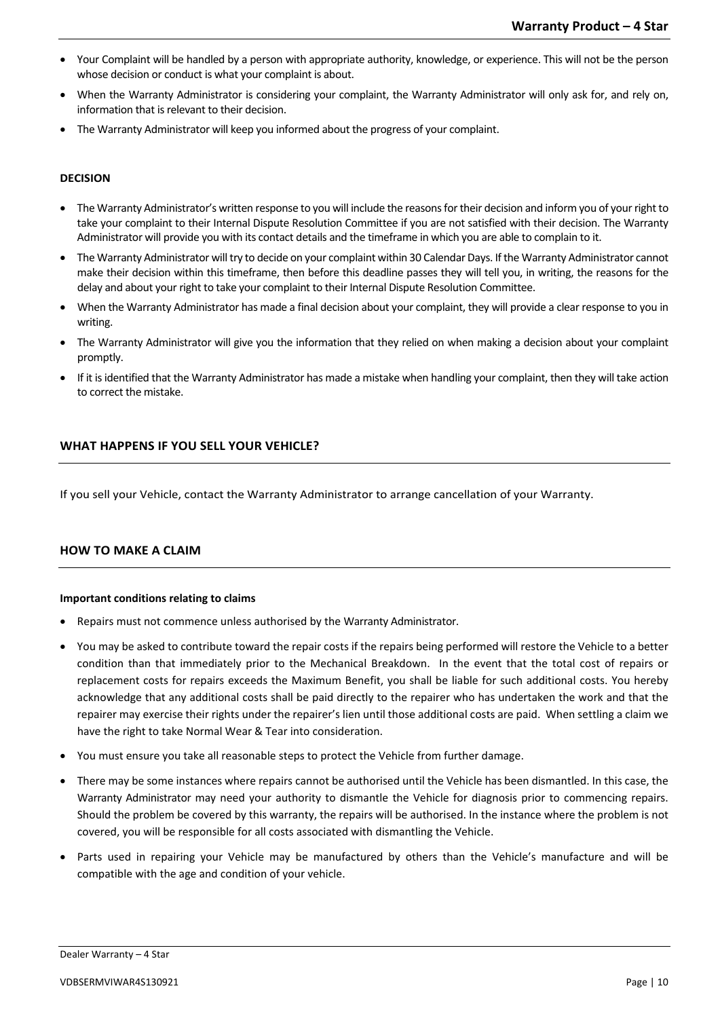- Your Complaint will be handled by a person with appropriate authority, knowledge, or experience. This will not be the person whose decision or conduct is what your complaint is about.
- When the Warranty Administrator is considering your complaint, the Warranty Administrator will only ask for, and rely on, information that is relevant to their decision.
- The Warranty Administrator will keep you informed about the progress of your complaint.

# **DECISION**

- The Warranty Administrator's written response to you will include the reasons for their decision and inform you of your right to take your complaint to their Internal Dispute Resolution Committee if you are not satisfied with their decision. The Warranty Administrator will provide you with its contact details and the timeframe in which you are able to complain to it.
- The Warranty Administrator will try to decide on your complaint within 30 Calendar Days. If the Warranty Administrator cannot make their decision within this timeframe, then before this deadline passes they will tell you, in writing, the reasons for the delay and about your right to take your complaint to their Internal Dispute Resolution Committee.
- When the Warranty Administrator has made a final decision about your complaint, they will provide a clear response to you in writing.
- The Warranty Administrator will give you the information that they relied on when making a decision about your complaint promptly.
- If it is identified that the Warranty Administrator has made a mistake when handling your complaint, then they will take action to correct the mistake.

# **WHAT HAPPENS IF YOU SELL YOUR VEHICLE?**

If you sell your Vehicle, contact the Warranty Administrator to arrange cancellation of your Warranty.

# **HOW TO MAKE A CLAIM**

# **Important conditions relating to claims**

- Repairs must not commence unless authorised by the Warranty Administrator.
- You may be asked to contribute toward the repair costs if the repairs being performed will restore the Vehicle to a better condition than that immediately prior to the Mechanical Breakdown. In the event that the total cost of repairs or replacement costs for repairs exceeds the Maximum Benefit, you shall be liable for such additional costs. You hereby acknowledge that any additional costs shall be paid directly to the repairer who has undertaken the work and that the repairer may exercise their rights under the repairer's lien until those additional costs are paid. When settling a claim we have the right to take Normal Wear & Tear into consideration.
- You must ensure you take all reasonable steps to protect the Vehicle from further damage.
- There may be some instances where repairs cannot be authorised until the Vehicle has been dismantled. In this case, the Warranty Administrator may need your authority to dismantle the Vehicle for diagnosis prior to commencing repairs. Should the problem be covered by this warranty, the repairs will be authorised. In the instance where the problem is not covered, you will be responsible for all costs associated with dismantling the Vehicle.
- Parts used in repairing your Vehicle may be manufactured by others than the Vehicle's manufacture and will be compatible with the age and condition of your vehicle.